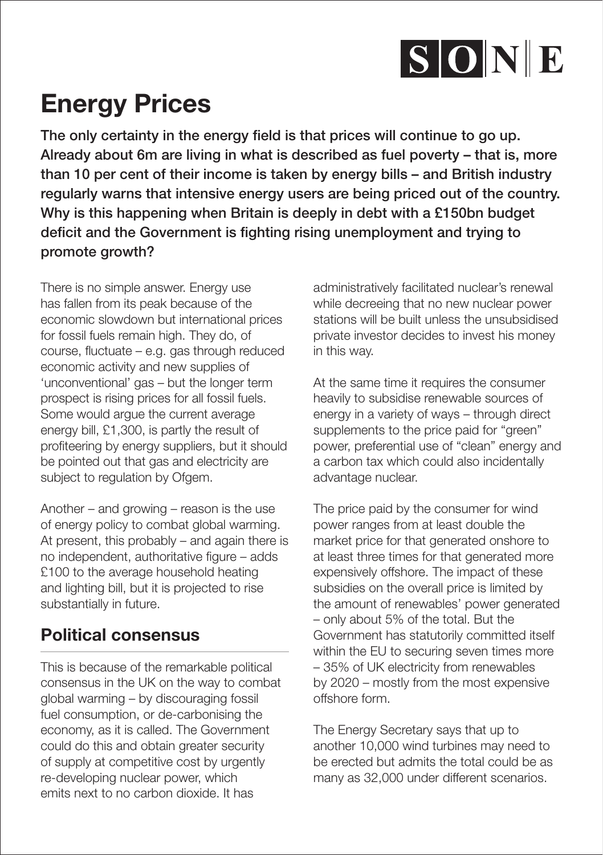

## Energy Prices

The only certainty in the energy field is that prices will continue to go up. Already about 6m are living in what is described as fuel poverty – that is, more than 10 per cent of their income is taken by energy bills – and British industry regularly warns that intensive energy users are being priced out of the country. Why is this happening when Britain is deeply in debt with a £150bn budget deficit and the Government is fighting rising unemployment and trying to promote growth?

There is no simple answer. Energy use has fallen from its peak because of the economic slowdown but international prices for fossil fuels remain high. They do, of course, fluctuate – e.g. gas through reduced economic activity and new supplies of 'unconventional' gas – but the longer term prospect is rising prices for all fossil fuels. Some would argue the current average energy bill, £1,300, is partly the result of profiteering by energy suppliers, but it should be pointed out that gas and electricity are subject to regulation by Ofgem.

Another – and growing – reason is the use of energy policy to combat global warming. At present, this probably – and again there is no independent, authoritative figure – adds £100 to the average household heating and lighting bill, but it is projected to rise substantially in future.

## Political consensus

This is because of the remarkable political consensus in the UK on the way to combat global warming – by discouraging fossil fuel consumption, or de-carbonising the economy, as it is called. The Government could do this and obtain greater security of supply at competitive cost by urgently re-developing nuclear power, which emits next to no carbon dioxide. It has

administratively facilitated nuclear's renewal while decreeing that no new nuclear power stations will be built unless the unsubsidised private investor decides to invest his money in this way.

At the same time it requires the consumer heavily to subsidise renewable sources of energy in a variety of ways – through direct supplements to the price paid for "green" power, preferential use of "clean" energy and a carbon tax which could also incidentally advantage nuclear.

The price paid by the consumer for wind power ranges from at least double the market price for that generated onshore to at least three times for that generated more expensively offshore. The impact of these subsidies on the overall price is limited by the amount of renewables' power generated – only about 5% of the total. But the Government has statutorily committed itself within the EU to securing seven times more – 35% of UK electricity from renewables by 2020 – mostly from the most expensive offshore form.

The Energy Secretary says that up to another 10,000 wind turbines may need to be erected but admits the total could be as many as 32,000 under different scenarios.